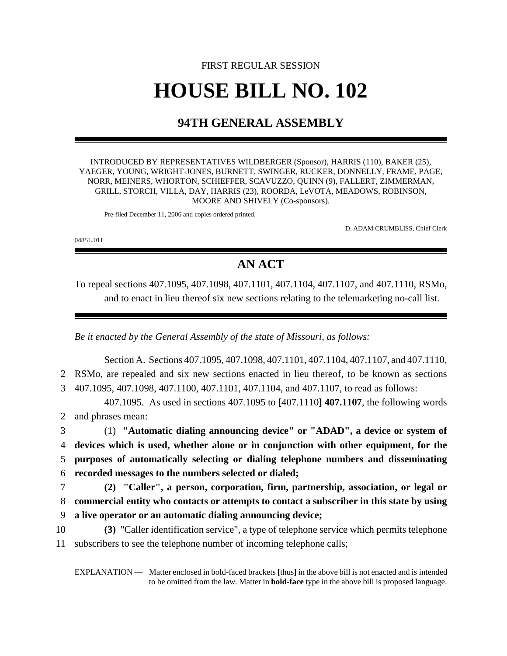## FIRST REGULAR SESSION **HOUSE BILL NO. 102**

## **94TH GENERAL ASSEMBLY**

INTRODUCED BY REPRESENTATIVES WILDBERGER (Sponsor), HARRIS (110), BAKER (25), YAEGER, YOUNG, WRIGHT-JONES, BURNETT, SWINGER, RUCKER, DONNELLY, FRAME, PAGE, NORR, MEINERS, WHORTON, SCHIEFFER, SCAVUZZO, QUINN (9), FALLERT, ZIMMERMAN, GRILL, STORCH, VILLA, DAY, HARRIS (23), ROORDA, LeVOTA, MEADOWS, ROBINSON, MOORE AND SHIVELY (Co-sponsors).

Pre-filed December 11, 2006 and copies ordered printed.

D. ADAM CRUMBLISS, Chief Clerk

0485L.01I

## **AN ACT**

To repeal sections 407.1095, 407.1098, 407.1101, 407.1104, 407.1107, and 407.1110, RSMo, and to enact in lieu thereof six new sections relating to the telemarketing no-call list.

*Be it enacted by the General Assembly of the state of Missouri, as follows:*

Section A. Sections 407.1095, 407.1098, 407.1101, 407.1104, 407.1107, and 407.1110, 2 RSMo, are repealed and six new sections enacted in lieu thereof, to be known as sections 3 407.1095, 407.1098, 407.1100, 407.1101, 407.1104, and 407.1107, to read as follows:

407.1095. As used in sections 407.1095 to **[**407.1110**] 407.1107**, the following words 2 and phrases mean:

 (1) **"Automatic dialing announcing device" or "ADAD", a device or system of devices which is used, whether alone or in conjunction with other equipment, for the purposes of automatically selecting or dialing telephone numbers and disseminating recorded messages to the numbers selected or dialed;**

7 **(2) "Caller", a person, corporation, firm, partnership, association, or legal or** 8 **commercial entity who contacts or attempts to contact a subscriber in this state by using** 9 **a live operator or an automatic dialing announcing device;**

- 
- 10 **(3)** "Caller identification service", a type of telephone service which permits telephone 11 subscribers to see the telephone number of incoming telephone calls;

EXPLANATION — Matter enclosed in bold-faced brackets **[**thus**]** in the above bill is not enacted and is intended to be omitted from the law. Matter in **bold-face** type in the above bill is proposed language.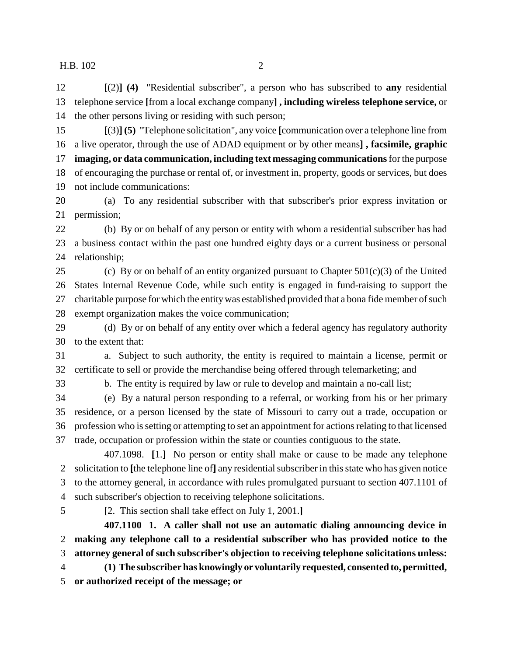**[**(2)**] (4)** "Residential subscriber", a person who has subscribed to **any** residential telephone service **[**from a local exchange company**] , including wireless telephone service,** or the other persons living or residing with such person;

 **[**(3)**] (5)** "Telephone solicitation", any voice **[**communication over a telephone line from a live operator, through the use of ADAD equipment or by other means**] , facsimile, graphic imaging, or data communication, including text messaging communications** for the purpose of encouraging the purchase or rental of, or investment in, property, goods or services, but does not include communications:

 (a) To any residential subscriber with that subscriber's prior express invitation or permission;

 (b) By or on behalf of any person or entity with whom a residential subscriber has had a business contact within the past one hundred eighty days or a current business or personal relationship;

25 (c) By or on behalf of an entity organized pursuant to Chapter  $501(c)(3)$  of the United States Internal Revenue Code, while such entity is engaged in fund-raising to support the charitable purpose for which the entity was established provided that a bona fide member of such exempt organization makes the voice communication;

 (d) By or on behalf of any entity over which a federal agency has regulatory authority to the extent that:

 a. Subject to such authority, the entity is required to maintain a license, permit or certificate to sell or provide the merchandise being offered through telemarketing; and

b. The entity is required by law or rule to develop and maintain a no-call list;

 (e) By a natural person responding to a referral, or working from his or her primary residence, or a person licensed by the state of Missouri to carry out a trade, occupation or profession who is setting or attempting to set an appointment for actions relating to that licensed trade, occupation or profession within the state or counties contiguous to the state.

407.1098. **[**1.**]** No person or entity shall make or cause to be made any telephone solicitation to **[**the telephone line of**]** any residential subscriber in this state who has given notice to the attorney general, in accordance with rules promulgated pursuant to section 407.1101 of such subscriber's objection to receiving telephone solicitations.

**[**2. This section shall take effect on July 1, 2001.**]**

**407.1100 1. A caller shall not use an automatic dialing announcing device in making any telephone call to a residential subscriber who has provided notice to the attorney general of such subscriber's objection to receiving telephone solicitations unless:**

 **(1) The subscriber has knowingly or voluntarily requested, consented to, permitted, or authorized receipt of the message; or**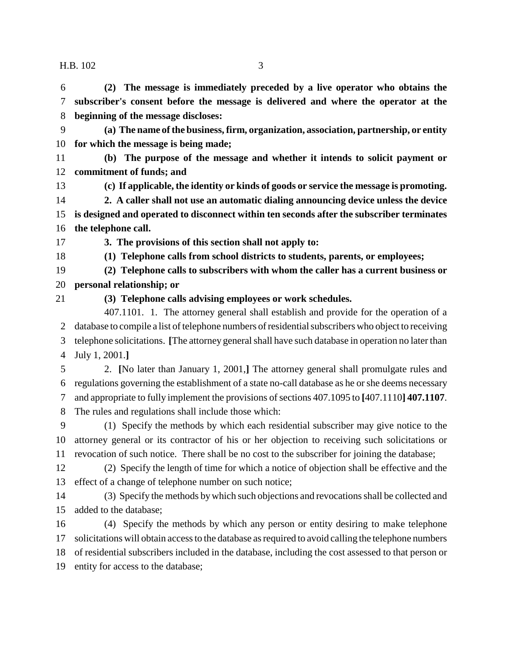**(2) The message is immediately preceded by a live operator who obtains the subscriber's consent before the message is delivered and where the operator at the beginning of the message discloses:**

 **(a) The name of the business, firm, organization, association, partnership, or entity for which the message is being made;**

 **(b) The purpose of the message and whether it intends to solicit payment or commitment of funds; and**

**(c) If applicable, the identity or kinds of goods or service the message is promoting.**

 **2. A caller shall not use an automatic dialing announcing device unless the device is designed and operated to disconnect within ten seconds after the subscriber terminates the telephone call.**

**3. The provisions of this section shall not apply to:**

**(1) Telephone calls from school districts to students, parents, or employees;**

 **(2) Telephone calls to subscribers with whom the caller has a current business or personal relationship; or**

**(3) Telephone calls advising employees or work schedules.**

407.1101. 1. The attorney general shall establish and provide for the operation of a database to compile a list of telephone numbers of residential subscribers who object to receiving telephone solicitations. **[**The attorney general shall have such database in operation no later than July 1, 2001.**]**

 2. **[**No later than January 1, 2001,**]** The attorney general shall promulgate rules and regulations governing the establishment of a state no-call database as he or she deems necessary and appropriate to fully implement the provisions of sections 407.1095 to **[**407.1110**] 407.1107**. The rules and regulations shall include those which:

 (1) Specify the methods by which each residential subscriber may give notice to the attorney general or its contractor of his or her objection to receiving such solicitations or revocation of such notice. There shall be no cost to the subscriber for joining the database;

 (2) Specify the length of time for which a notice of objection shall be effective and the effect of a change of telephone number on such notice;

 (3) Specify the methods by which such objections and revocations shall be collected and added to the database;

 (4) Specify the methods by which any person or entity desiring to make telephone solicitations will obtain access to the database as required to avoid calling the telephone numbers of residential subscribers included in the database, including the cost assessed to that person or entity for access to the database;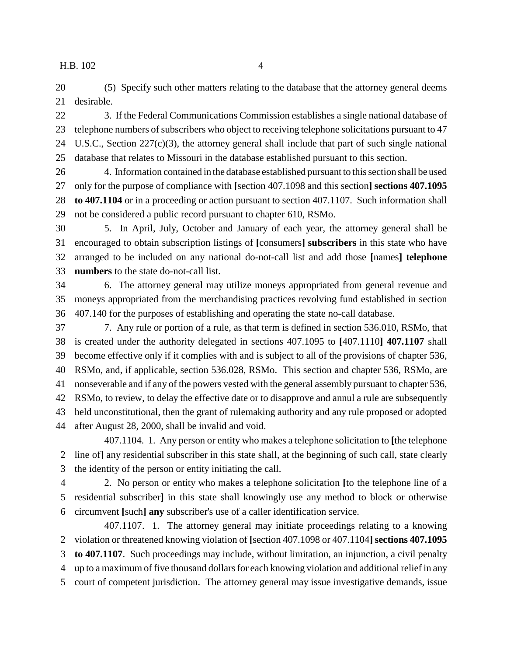(5) Specify such other matters relating to the database that the attorney general deems desirable.

 3. If the Federal Communications Commission establishes a single national database of telephone numbers of subscribers who object to receiving telephone solicitations pursuant to 47 U.S.C., Section 227(c)(3), the attorney general shall include that part of such single national database that relates to Missouri in the database established pursuant to this section.

 4. Information contained in the database established pursuant to this section shall be used only for the purpose of compliance with **[**section 407.1098 and this section**] sections 407.1095 to 407.1104** or in a proceeding or action pursuant to section 407.1107. Such information shall not be considered a public record pursuant to chapter 610, RSMo.

 5. In April, July, October and January of each year, the attorney general shall be encouraged to obtain subscription listings of **[**consumers**] subscribers** in this state who have arranged to be included on any national do-not-call list and add those **[**names**] telephone numbers** to the state do-not-call list.

 6. The attorney general may utilize moneys appropriated from general revenue and moneys appropriated from the merchandising practices revolving fund established in section 407.140 for the purposes of establishing and operating the state no-call database.

 7. Any rule or portion of a rule, as that term is defined in section 536.010, RSMo, that is created under the authority delegated in sections 407.1095 to **[**407.1110**] 407.1107** shall become effective only if it complies with and is subject to all of the provisions of chapter 536, RSMo, and, if applicable, section 536.028, RSMo. This section and chapter 536, RSMo, are nonseverable and if any of the powers vested with the general assembly pursuant to chapter 536, RSMo, to review, to delay the effective date or to disapprove and annul a rule are subsequently held unconstitutional, then the grant of rulemaking authority and any rule proposed or adopted after August 28, 2000, shall be invalid and void.

407.1104. 1. Any person or entity who makes a telephone solicitation to **[**the telephone line of**]** any residential subscriber in this state shall, at the beginning of such call, state clearly the identity of the person or entity initiating the call.

 2. No person or entity who makes a telephone solicitation **[**to the telephone line of a residential subscriber**]** in this state shall knowingly use any method to block or otherwise circumvent **[**such**] any** subscriber's use of a caller identification service.

407.1107. 1. The attorney general may initiate proceedings relating to a knowing violation or threatened knowing violation of **[**section 407.1098 or 407.1104**] sections 407.1095 to 407.1107**. Such proceedings may include, without limitation, an injunction, a civil penalty up to a maximum of five thousand dollars for each knowing violation and additional relief in any court of competent jurisdiction. The attorney general may issue investigative demands, issue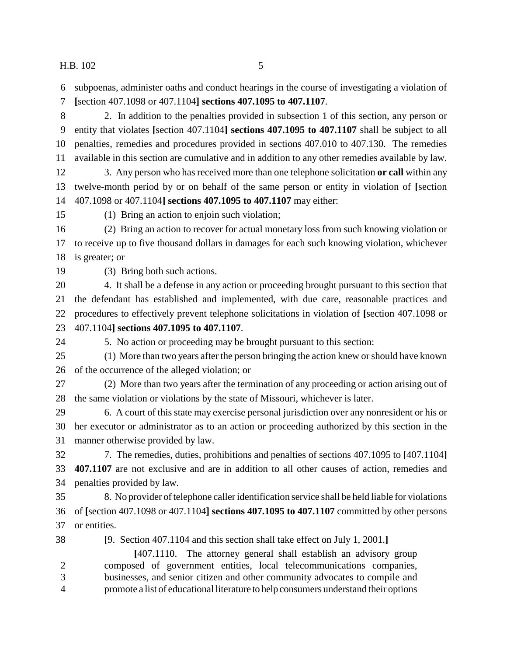subpoenas, administer oaths and conduct hearings in the course of investigating a violation of

**[**section 407.1098 or 407.1104**] sections 407.1095 to 407.1107**.

 2. In addition to the penalties provided in subsection 1 of this section, any person or entity that violates **[**section 407.1104**] sections 407.1095 to 407.1107** shall be subject to all penalties, remedies and procedures provided in sections 407.010 to 407.130. The remedies available in this section are cumulative and in addition to any other remedies available by law.

 3. Any person who has received more than one telephone solicitation **or call** within any twelve-month period by or on behalf of the same person or entity in violation of **[**section 407.1098 or 407.1104**] sections 407.1095 to 407.1107** may either:

(1) Bring an action to enjoin such violation;

 (2) Bring an action to recover for actual monetary loss from such knowing violation or to receive up to five thousand dollars in damages for each such knowing violation, whichever is greater; or

(3) Bring both such actions.

 4. It shall be a defense in any action or proceeding brought pursuant to this section that the defendant has established and implemented, with due care, reasonable practices and procedures to effectively prevent telephone solicitations in violation of **[**section 407.1098 or 407.1104**] sections 407.1095 to 407.1107**.

5. No action or proceeding may be brought pursuant to this section:

 (1) More than two years after the person bringing the action knew or should have known of the occurrence of the alleged violation; or

 (2) More than two years after the termination of any proceeding or action arising out of the same violation or violations by the state of Missouri, whichever is later.

 6. A court of this state may exercise personal jurisdiction over any nonresident or his or her executor or administrator as to an action or proceeding authorized by this section in the manner otherwise provided by law.

 7. The remedies, duties, prohibitions and penalties of sections 407.1095 to **[**407.1104**] 407.1107** are not exclusive and are in addition to all other causes of action, remedies and penalties provided by law.

 8. No provider of telephone caller identification service shall be held liable for violations of **[**section 407.1098 or 407.1104**] sections 407.1095 to 407.1107** committed by other persons or entities.

**[**9. Section 407.1104 and this section shall take effect on July 1, 2001.**]**

**[**407.1110. The attorney general shall establish an advisory group composed of government entities, local telecommunications companies, businesses, and senior citizen and other community advocates to compile and promote a list of educational literature to help consumers understand their options